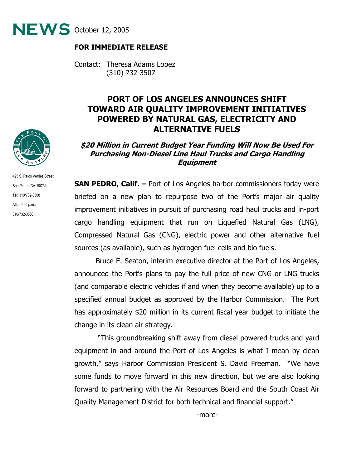

## **FOR IMMEDIATE RELEASE**

Contact: Theresa Adams Lopez (310) 732-3507

## **PORT OF LOS ANGELES ANNOUNCES SHIFT TOWARD AIR QUALITY IMPROVEMENT INITIATIVES POWERED BY NATURAL GAS, ELECTRICITY AND ALTERNATIVE FUELS**

## **\$20 Million in Current Budget Year Funding Will Now Be Used For Purchasing Non-Diesel Line Haul Trucks and Cargo Handling Equipment**

**SAN PEDRO, Calif. –** Port of Los Angeles harbor commissioners today were briefed on a new plan to repurpose two of the Port's major air quality improvement initiatives in pursuit of purchasing road haul trucks and in-port cargo handling equipment that run on Liquefied Natural Gas (LNG), Compressed Natural Gas (CNG), electric power and other alternative fuel sources (as available), such as hydrogen fuel cells and bio fuels.

Bruce E. Seaton, interim executive director at the Port of Los Angeles, announced the Port's plans to pay the full price of new CNG or LNG trucks (and comparable electric vehicles if and when they become available) up to a specified annual budget as approved by the Harbor Commission. The Port has approximately \$20 million in its current fiscal year budget to initiate the change in its clean air strategy.

 "This groundbreaking shift away from diesel powered trucks and yard equipment in and around the Port of Los Angeles is what I mean by clean growth," says Harbor Commission President S. David Freeman. "We have some funds to move forward in this new direction, but we are also looking forward to partnering with the Air Resources Board and the South Coast Air Quality Management District for both technical and financial support."



425 S. Palos Verdes Street San Pedro, CA 90731 Tel: 310/732-3508 After 5:00 p.m.: 310/732-3500

-more-